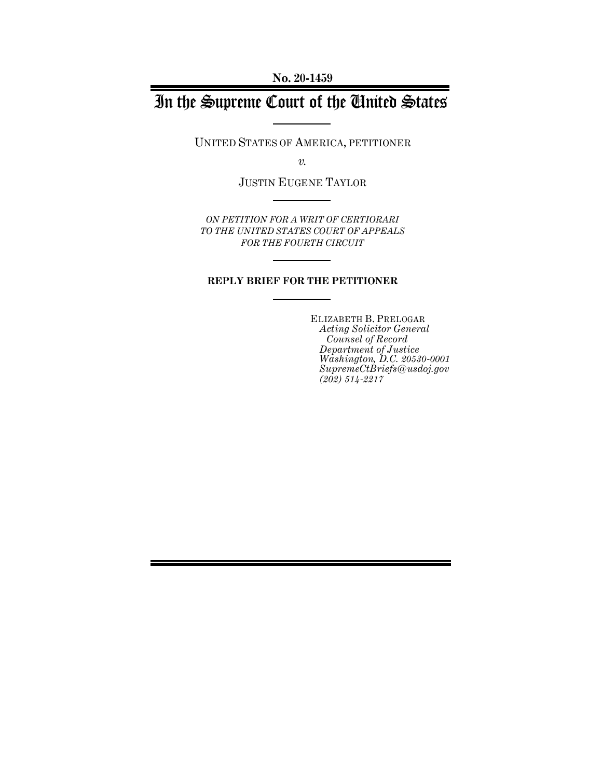**No. 20-1459**

# In the Supreme Court of the United States

UNITED STATES OF AMERICA, PETITIONER

*v.*

JUSTIN EUGENE TAYLOR

*ON PETITION FOR A WRIT OF CERTIORARI TO THE UNITED STATES COURT OF APPEALS FOR THE FOURTH CIRCUIT*

#### **REPLY BRIEF FOR THE PETITIONER**

ELIZABETH B. PRELOGAR *Acting Solicitor General Counsel of Record Department of Justice Washington, D.C. 20530-0001 SupremeCtBriefs@usdoj.gov (202) 514-2217*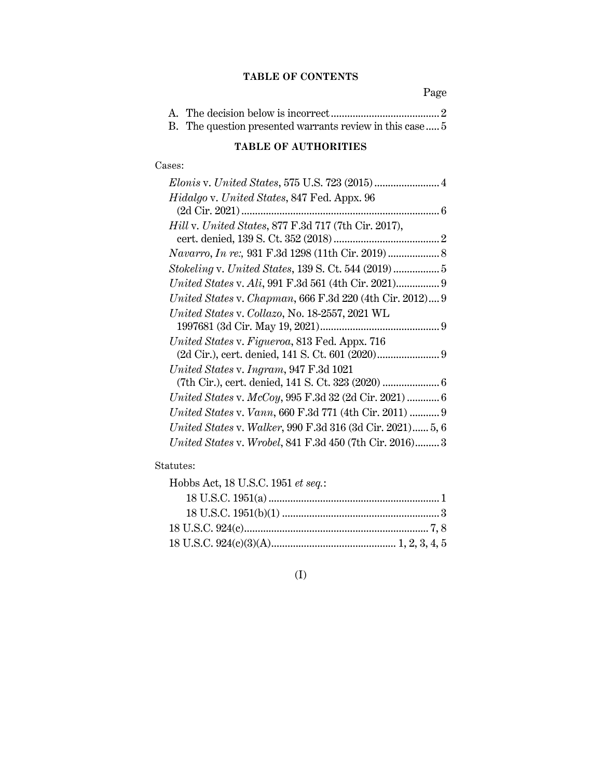### **TABLE OF CONTENTS**

Page

| B. The question presented warrants review in this case  5 |  |
|-----------------------------------------------------------|--|

### **TABLE OF AUTHORITIES**

### Cases:

### Statutes:

| Hobbs Act, 18 U.S.C. 1951 et seq.: |  |
|------------------------------------|--|
|                                    |  |
|                                    |  |
|                                    |  |
|                                    |  |

### (I)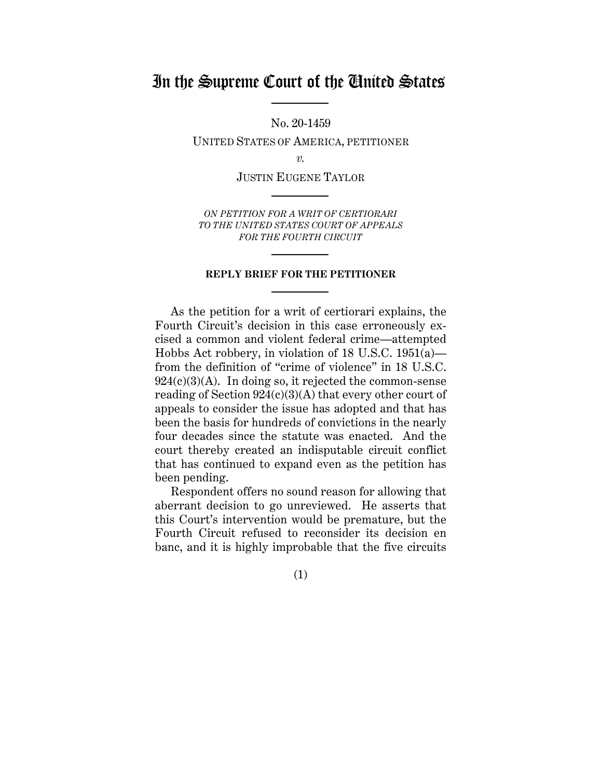## In the Supreme Court of the United States

No. 20-1459

UNITED STATES OF AMERICA, PETITIONER

*v.*

JUSTIN EUGENE TAYLOR

*ON PETITION FOR A WRIT OF CERTIORARI TO THE UNITED STATES COURT OF APPEALS FOR THE FOURTH CIRCUIT*

#### **REPLY BRIEF FOR THE PETITIONER**

As the petition for a writ of certiorari explains, the Fourth Circuit's decision in this case erroneously excised a common and violent federal crime—attempted Hobbs Act robbery, in violation of 18 U.S.C. 1951(a) from the definition of "crime of violence" in 18 U.S.C.  $924(c)(3)(A)$ . In doing so, it rejected the common-sense reading of Section  $924(c)(3)(A)$  that every other court of appeals to consider the issue has adopted and that has been the basis for hundreds of convictions in the nearly four decades since the statute was enacted. And the court thereby created an indisputable circuit conflict that has continued to expand even as the petition has been pending.

Respondent offers no sound reason for allowing that aberrant decision to go unreviewed. He asserts that this Court's intervention would be premature, but the Fourth Circuit refused to reconsider its decision en banc, and it is highly improbable that the five circuits

(1)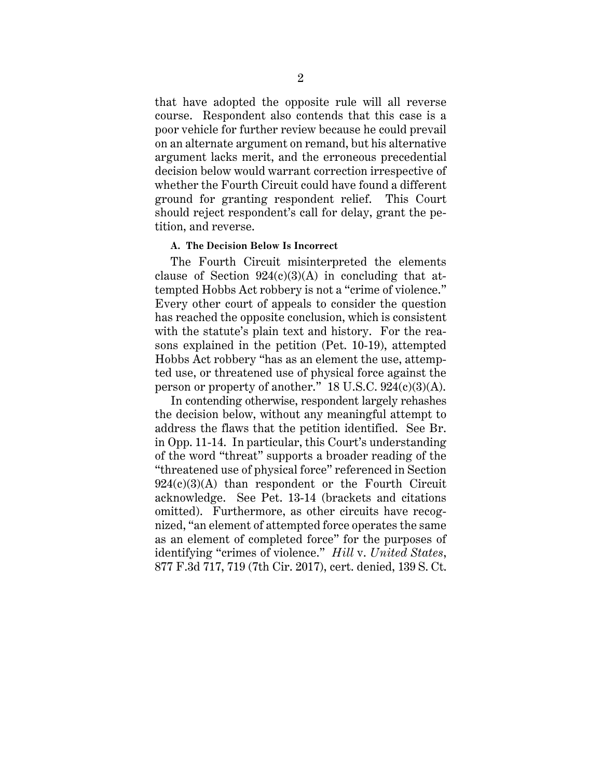that have adopted the opposite rule will all reverse course. Respondent also contends that this case is a poor vehicle for further review because he could prevail on an alternate argument on remand, but his alternative argument lacks merit, and the erroneous precedential decision below would warrant correction irrespective of whether the Fourth Circuit could have found a different ground for granting respondent relief. This Court should reject respondent's call for delay, grant the petition, and reverse.

#### **A. The Decision Below Is Incorrect**

The Fourth Circuit misinterpreted the elements clause of Section  $924(c)(3)(A)$  in concluding that attempted Hobbs Act robbery is not a "crime of violence." Every other court of appeals to consider the question has reached the opposite conclusion, which is consistent with the statute's plain text and history. For the reasons explained in the petition (Pet. 10-19), attempted Hobbs Act robbery "has as an element the use, attempted use, or threatened use of physical force against the person or property of another."  $18$  U.S.C.  $924(c)(3)(A)$ .

In contending otherwise, respondent largely rehashes the decision below, without any meaningful attempt to address the flaws that the petition identified. See Br. in Opp. 11-14. In particular, this Court's understanding of the word "threat" supports a broader reading of the "threatened use of physical force" referenced in Section  $924(c)(3)(A)$  than respondent or the Fourth Circuit acknowledge. See Pet. 13-14 (brackets and citations omitted). Furthermore, as other circuits have recognized, "an element of attempted force operates the same as an element of completed force" for the purposes of identifying "crimes of violence." *Hill* v. *United States*, 877 F.3d 717, 719 (7th Cir. 2017), cert. denied, 139 S. Ct.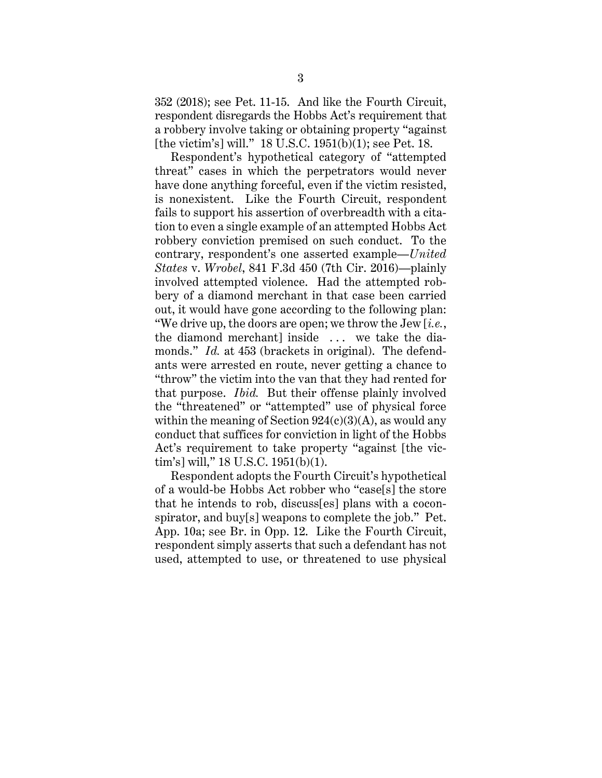352 (2018); see Pet. 11-15. And like the Fourth Circuit, respondent disregards the Hobbs Act's requirement that a robbery involve taking or obtaining property "against [the victim's] will." 18 U.S.C. 1951(b)(1); see Pet. 18.

Respondent's hypothetical category of "attempted threat" cases in which the perpetrators would never have done anything forceful, even if the victim resisted, is nonexistent. Like the Fourth Circuit, respondent fails to support his assertion of overbreadth with a citation to even a single example of an attempted Hobbs Act robbery conviction premised on such conduct. To the contrary, respondent's one asserted example—*United States* v. *Wrobel*, 841 F.3d 450 (7th Cir. 2016)—plainly involved attempted violence. Had the attempted robbery of a diamond merchant in that case been carried out, it would have gone according to the following plan: "We drive up, the doors are open; we throw the Jew [*i.e.*, the diamond merchant] inside . . . we take the diamonds." *Id.* at 453 (brackets in original). The defendants were arrested en route, never getting a chance to "throw" the victim into the van that they had rented for that purpose. *Ibid.* But their offense plainly involved the "threatened" or "attempted" use of physical force within the meaning of Section  $924(c)(3)(A)$ , as would any conduct that suffices for conviction in light of the Hobbs Act's requirement to take property "against [the victim's] will," 18 U.S.C. 1951(b)(1).

Respondent adopts the Fourth Circuit's hypothetical of a would-be Hobbs Act robber who "case[s] the store that he intends to rob, discuss[es] plans with a coconspirator, and buy[s] weapons to complete the job." Pet. App. 10a; see Br. in Opp. 12. Like the Fourth Circuit, respondent simply asserts that such a defendant has not used, attempted to use, or threatened to use physical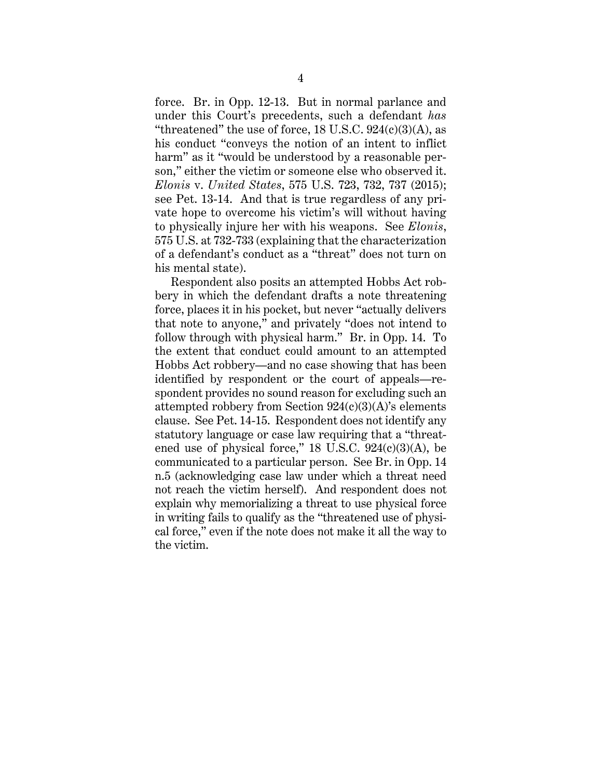force. Br. in Opp. 12-13. But in normal parlance and under this Court's precedents, such a defendant *has* "threatened" the use of force,  $18$  U.S.C.  $924(c)(3)(A)$ , as his conduct "conveys the notion of an intent to inflict harm" as it "would be understood by a reasonable person," either the victim or someone else who observed it. *Elonis* v. *United States*, 575 U.S. 723, 732, 737 (2015); see Pet. 13-14. And that is true regardless of any private hope to overcome his victim's will without having to physically injure her with his weapons. See *Elonis*, 575 U.S. at 732-733 (explaining that the characterization of a defendant's conduct as a "threat" does not turn on his mental state).

Respondent also posits an attempted Hobbs Act robbery in which the defendant drafts a note threatening force, places it in his pocket, but never "actually delivers that note to anyone," and privately "does not intend to follow through with physical harm." Br. in Opp. 14. To the extent that conduct could amount to an attempted Hobbs Act robbery—and no case showing that has been identified by respondent or the court of appeals—respondent provides no sound reason for excluding such an attempted robbery from Section  $924(c)(3)(A)$ 's elements clause. See Pet. 14-15. Respondent does not identify any statutory language or case law requiring that a "threatened use of physical force,"  $18$  U.S.C.  $924(c)(3)(A)$ , be communicated to a particular person. See Br. in Opp. 14 n.5 (acknowledging case law under which a threat need not reach the victim herself). And respondent does not explain why memorializing a threat to use physical force in writing fails to qualify as the "threatened use of physical force," even if the note does not make it all the way to the victim.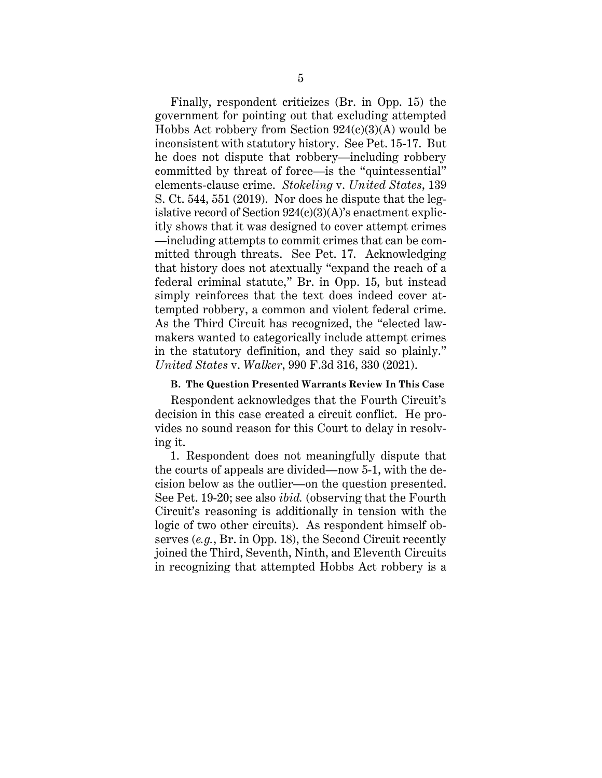Finally, respondent criticizes (Br. in Opp. 15) the government for pointing out that excluding attempted Hobbs Act robbery from Section  $924(c)(3)(A)$  would be inconsistent with statutory history. See Pet. 15-17. But he does not dispute that robbery—including robbery committed by threat of force—is the "quintessential" elements-clause crime. *Stokeling* v. *United States*, 139 S. Ct. 544, 551 (2019). Nor does he dispute that the legislative record of Section  $924(c)(3)(A)$ 's enactment explicitly shows that it was designed to cover attempt crimes —including attempts to commit crimes that can be committed through threats. See Pet. 17. Acknowledging that history does not atextually "expand the reach of a federal criminal statute," Br. in Opp. 15, but instead simply reinforces that the text does indeed cover attempted robbery, a common and violent federal crime. As the Third Circuit has recognized, the "elected lawmakers wanted to categorically include attempt crimes in the statutory definition, and they said so plainly." *United States* v. *Walker*, 990 F.3d 316, 330 (2021).

#### **B. The Question Presented Warrants Review In This Case**

Respondent acknowledges that the Fourth Circuit's decision in this case created a circuit conflict. He provides no sound reason for this Court to delay in resolving it.

1. Respondent does not meaningfully dispute that the courts of appeals are divided—now 5-1, with the decision below as the outlier—on the question presented. See Pet. 19-20; see also *ibid.* (observing that the Fourth Circuit's reasoning is additionally in tension with the logic of two other circuits). As respondent himself observes (*e.g.*, Br. in Opp. 18), the Second Circuit recently joined the Third, Seventh, Ninth, and Eleventh Circuits in recognizing that attempted Hobbs Act robbery is a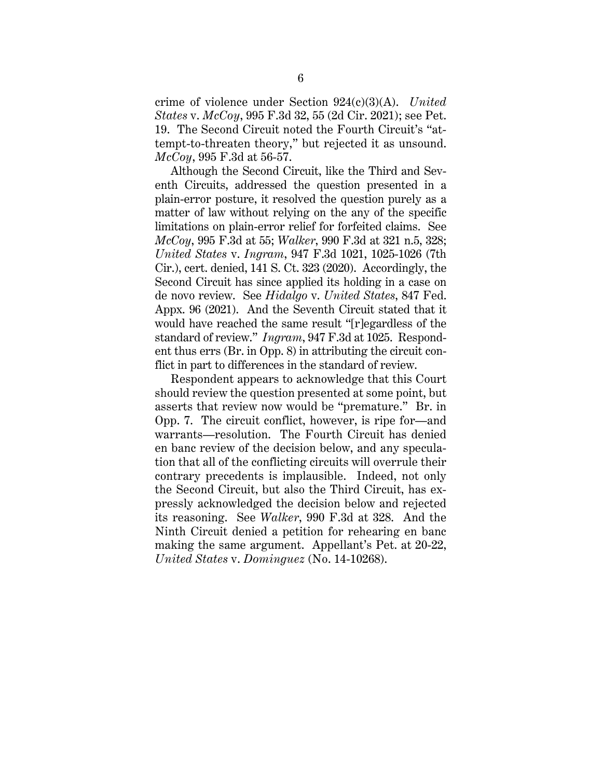crime of violence under Section 924(c)(3)(A). *United States* v. *McCoy*, 995 F.3d 32, 55 (2d Cir. 2021); see Pet. 19. The Second Circuit noted the Fourth Circuit's "attempt-to-threaten theory," but rejected it as unsound. *McCoy*, 995 F.3d at 56-57.

Although the Second Circuit, like the Third and Seventh Circuits, addressed the question presented in a plain-error posture, it resolved the question purely as a matter of law without relying on the any of the specific limitations on plain-error relief for forfeited claims. See *McCoy*, 995 F.3d at 55; *Walker*, 990 F.3d at 321 n.5, 328; *United States* v. *Ingram*, 947 F.3d 1021, 1025-1026 (7th Cir.), cert. denied, 141 S. Ct. 323 (2020). Accordingly, the Second Circuit has since applied its holding in a case on de novo review. See *Hidalgo* v. *United States*, 847 Fed. Appx. 96 (2021). And the Seventh Circuit stated that it would have reached the same result "[r]egardless of the standard of review." *Ingram*, 947 F.3d at 1025. Respondent thus errs (Br. in Opp. 8) in attributing the circuit conflict in part to differences in the standard of review.

Respondent appears to acknowledge that this Court should review the question presented at some point, but asserts that review now would be "premature." Br. in Opp. 7. The circuit conflict, however, is ripe for—and warrants—resolution. The Fourth Circuit has denied en banc review of the decision below, and any speculation that all of the conflicting circuits will overrule their contrary precedents is implausible. Indeed, not only the Second Circuit, but also the Third Circuit, has expressly acknowledged the decision below and rejected its reasoning. See *Walker*, 990 F.3d at 328. And the Ninth Circuit denied a petition for rehearing en banc making the same argument. Appellant's Pet. at 20-22, *United States* v. *Dominguez* (No. 14-10268).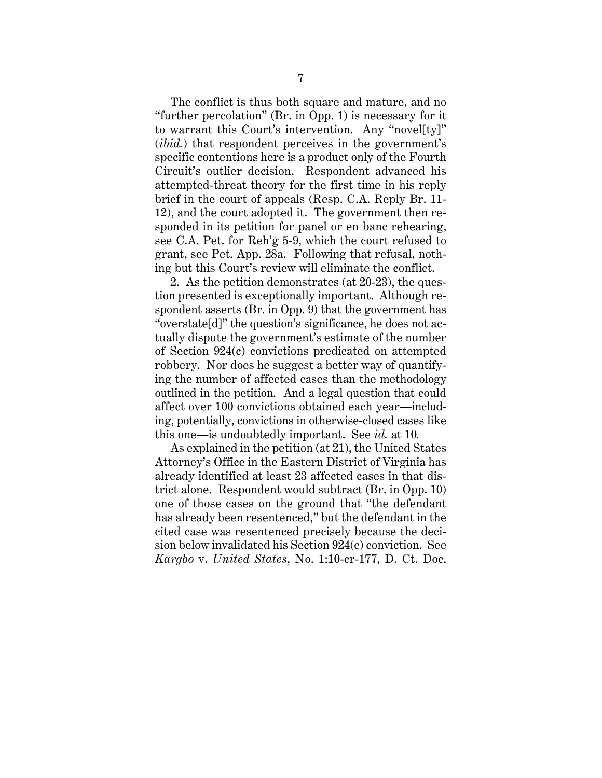The conflict is thus both square and mature, and no "further percolation" (Br. in Opp. 1) is necessary for it to warrant this Court's intervention. Any "novel[ty]" (*ibid.*) that respondent perceives in the government's specific contentions here is a product only of the Fourth Circuit's outlier decision. Respondent advanced his attempted-threat theory for the first time in his reply brief in the court of appeals (Resp. C.A. Reply Br. 11- 12), and the court adopted it. The government then responded in its petition for panel or en banc rehearing, see C.A. Pet. for Reh'g 5-9, which the court refused to grant, see Pet. App. 28a. Following that refusal, nothing but this Court's review will eliminate the conflict.

2. As the petition demonstrates (at 20-23), the question presented is exceptionally important. Although respondent asserts (Br. in Opp. 9) that the government has "overstate[d]" the question's significance, he does not actually dispute the government's estimate of the number of Section 924(c) convictions predicated on attempted robbery. Nor does he suggest a better way of quantifying the number of affected cases than the methodology outlined in the petition. And a legal question that could affect over 100 convictions obtained each year—including, potentially, convictions in otherwise-closed cases like this one—is undoubtedly important. See *id.* at 10*.* 

As explained in the petition (at 21), the United States Attorney's Office in the Eastern District of Virginia has already identified at least 23 affected cases in that district alone. Respondent would subtract (Br. in Opp. 10) one of those cases on the ground that "the defendant has already been resentenced," but the defendant in the cited case was resentenced precisely because the decision below invalidated his Section 924(c) conviction. See *Kargbo* v. *United States*, No. 1:10-cr-177, D. Ct. Doc.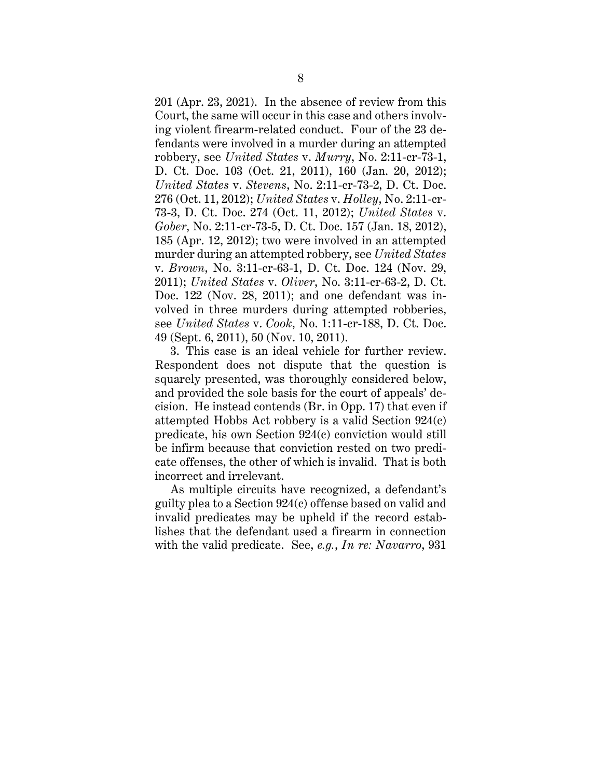201 (Apr. 23, 2021). In the absence of review from this Court, the same will occur in this case and others involving violent firearm-related conduct. Four of the 23 defendants were involved in a murder during an attempted robbery, see *United States* v. *Murry*, No. 2:11-cr-73-1, D. Ct. Doc. 103 (Oct. 21, 2011), 160 (Jan. 20, 2012); *United States* v. *Stevens*, No. 2:11-cr-73-2, D. Ct. Doc. 276 (Oct. 11, 2012); *United States* v. *Holley*, No. 2:11-cr-73-3, D. Ct. Doc. 274 (Oct. 11, 2012); *United States* v. *Gober*, No. 2:11-cr-73-5, D. Ct. Doc. 157 (Jan. 18, 2012), 185 (Apr. 12, 2012); two were involved in an attempted murder during an attempted robbery, see *United States* v. *Brown*, No. 3:11-cr-63-1, D. Ct. Doc. 124 (Nov. 29, 2011); *United States* v. *Oliver*, No. 3:11-cr-63-2, D. Ct. Doc. 122 (Nov. 28, 2011); and one defendant was involved in three murders during attempted robberies, see *United States* v. *Cook*, No. 1:11-cr-188, D. Ct. Doc. 49 (Sept. 6, 2011), 50 (Nov. 10, 2011).

3. This case is an ideal vehicle for further review. Respondent does not dispute that the question is squarely presented, was thoroughly considered below, and provided the sole basis for the court of appeals' decision. He instead contends (Br. in Opp. 17) that even if attempted Hobbs Act robbery is a valid Section 924(c) predicate, his own Section 924(c) conviction would still be infirm because that conviction rested on two predicate offenses, the other of which is invalid. That is both incorrect and irrelevant.

As multiple circuits have recognized, a defendant's guilty plea to a Section 924(c) offense based on valid and invalid predicates may be upheld if the record establishes that the defendant used a firearm in connection with the valid predicate. See, *e.g.*, *In re: Navarro*, 931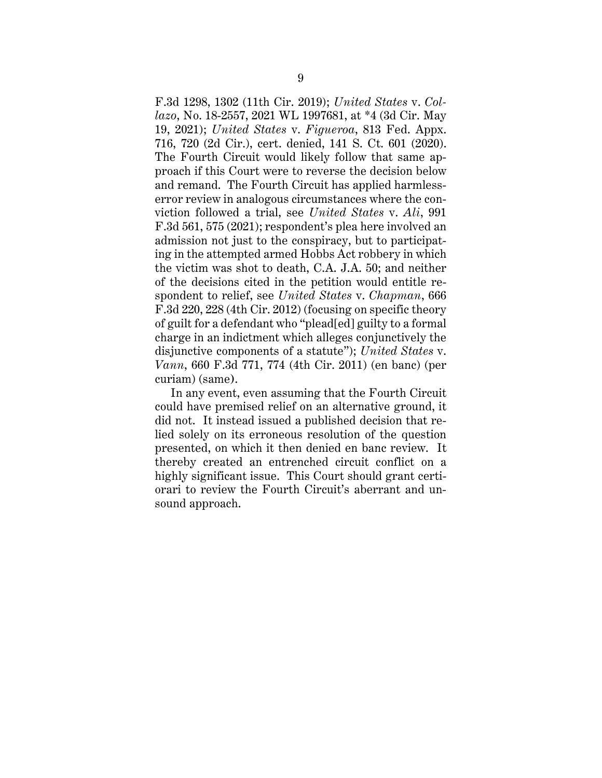F.3d 1298, 1302 (11th Cir. 2019); *United States* v. *Collazo*, No. 18-2557, 2021 WL 1997681, at \*4 (3d Cir. May 19, 2021); *United States* v. *Figueroa*, 813 Fed. Appx. 716, 720 (2d Cir.), cert. denied, 141 S. Ct. 601 (2020). The Fourth Circuit would likely follow that same approach if this Court were to reverse the decision below and remand. The Fourth Circuit has applied harmlesserror review in analogous circumstances where the conviction followed a trial, see *United States* v. *Ali*, 991 F.3d 561, 575 (2021); respondent's plea here involved an admission not just to the conspiracy, but to participating in the attempted armed Hobbs Act robbery in which the victim was shot to death, C.A. J.A. 50; and neither of the decisions cited in the petition would entitle respondent to relief, see *United States* v. *Chapman*, 666 F.3d 220, 228 (4th Cir. 2012) (focusing on specific theory of guilt for a defendant who "plead[ed] guilty to a formal charge in an indictment which alleges conjunctively the disjunctive components of a statute"); *United States* v. *Vann*, 660 F.3d 771, 774 (4th Cir. 2011) (en banc) (per curiam) (same**)**.

In any event, even assuming that the Fourth Circuit could have premised relief on an alternative ground, it did not. It instead issued a published decision that relied solely on its erroneous resolution of the question presented, on which it then denied en banc review. It thereby created an entrenched circuit conflict on a highly significant issue. This Court should grant certiorari to review the Fourth Circuit's aberrant and unsound approach.